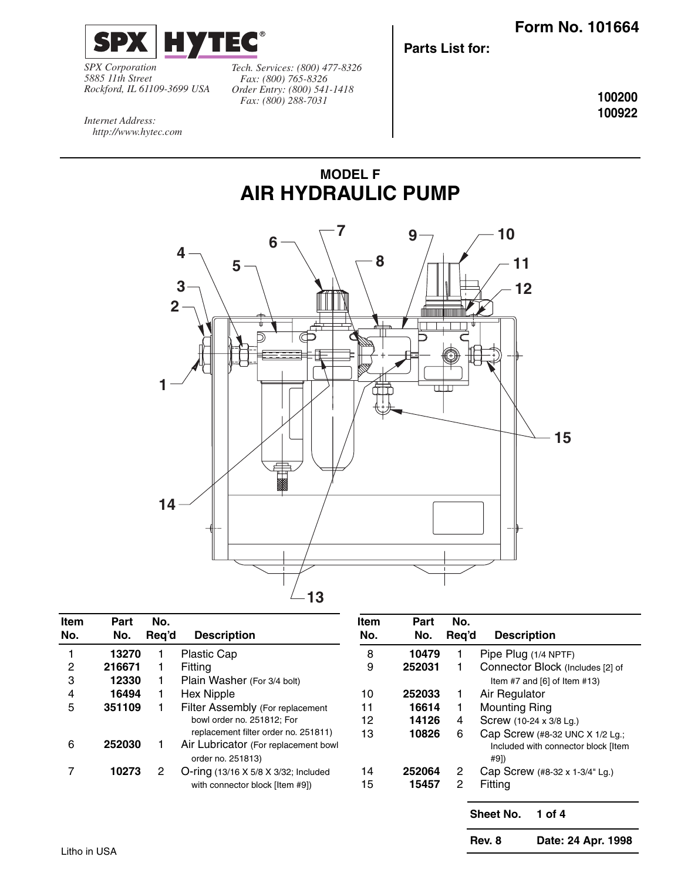

*SPX Corporation 5885 11th Street Rockford, IL 61109-3699 USA* *Tech. Services: (800) 477-8326 Fax: (800) 765-8326 Order Entry: (800) 541-1418 Fax: (800) 288-7031*

**Parts List for:**

**100200 100922**

*Internet Address: http://www.hytec.com*



**MODEL F**

| Item<br>No. | Part<br>No. | No.<br>Req'd   | <b>Description</b>                                        | Item<br>No. | Part<br>No. | No.<br>Reg'd | <b>Description</b>                          |
|-------------|-------------|----------------|-----------------------------------------------------------|-------------|-------------|--------------|---------------------------------------------|
|             | 13270       |                | <b>Plastic Cap</b>                                        | 8           | 10479       |              | Pipe Plug (1/4 NPTF)                        |
| 2           | 216671      |                | Fitting                                                   | 9           | 252031      |              | Connector Block (Includes [2] of            |
| 3           | 12330       |                | Plain Washer (For 3/4 bolt)                               |             |             |              | Item #7 and $[6]$ of Item #13)              |
| 4           | 16494       |                | <b>Hex Nipple</b>                                         | 10          | 252033      | 1            | Air Regulator                               |
| 5           | 351109      |                | Filter Assembly (For replacement                          | 11          | 16614       | 1            | <b>Mounting Ring</b>                        |
|             |             |                | bowl order no. 251812; For                                | 12          | 14126       | 4            | Screw (10-24 x 3/8 Lg.)                     |
|             |             |                | replacement filter order no. 251811)                      | 13          | 10826       | 6            | Cap Screw (#8-32 UNC X 1/2 Lg.;             |
| 6           | 252030      |                | Air Lubricator (For replacement bowl<br>order no. 251813) |             |             |              | Included with connector block [Item<br>#9]) |
|             | 10273       | $\overline{2}$ | O-ring (13/16 X 5/8 X 3/32; Included                      | 14          | 252064      | 2            | Cap Screw (#8-32 x 1-3/4" Lg.)              |
|             |             |                | with connector block [Item #9])                           | 15          | 15457       | $\mathbf{2}$ | Fitting                                     |

**Sheet No. 1 of 4**

**Rev. 8 Date: 24 Apr. 1998**

Litho in USA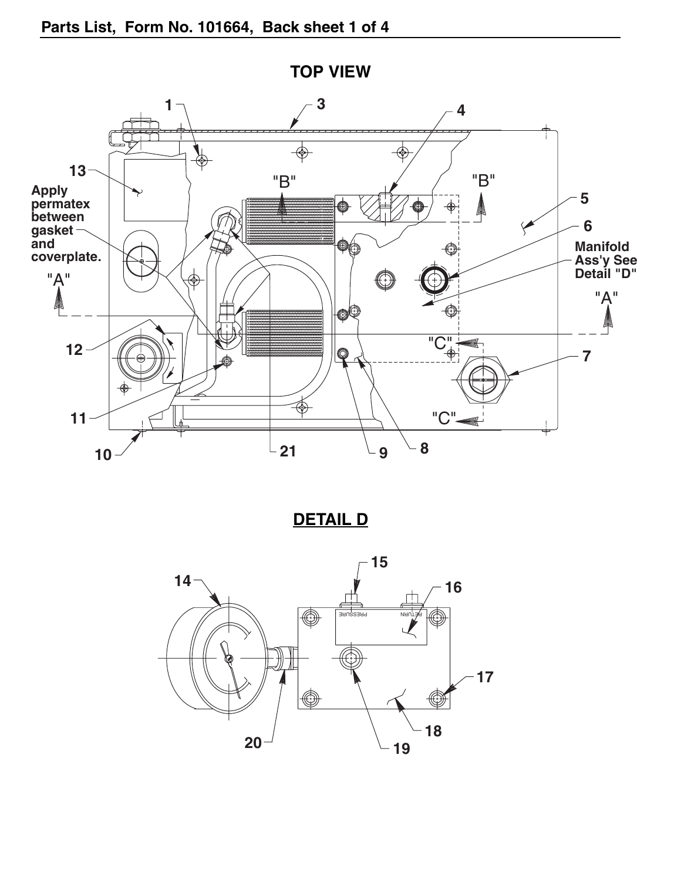

**TOP VIEW**

**DETAIL D**

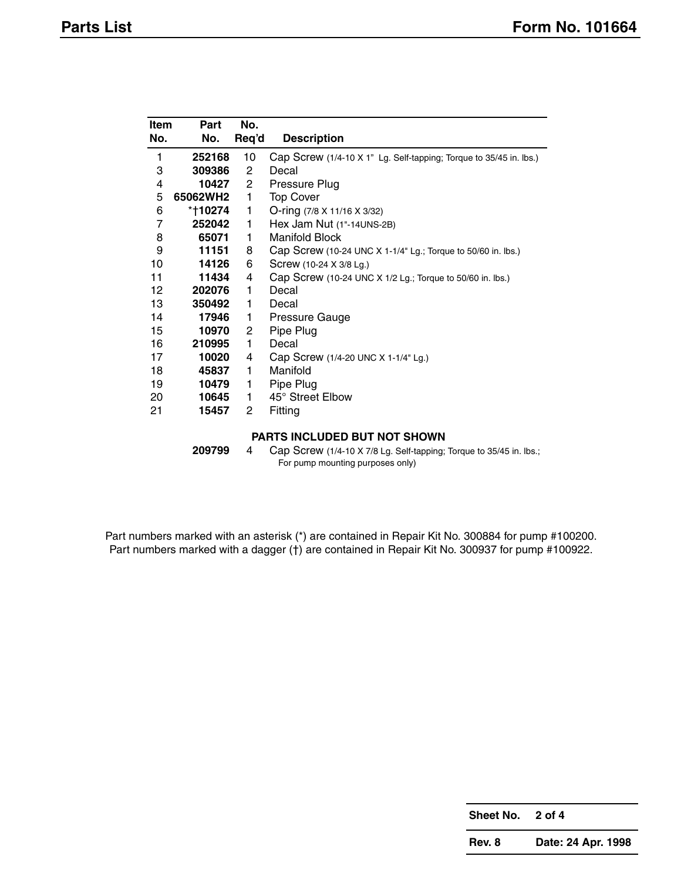| Item           | Part     | No.                   |                                                                    |
|----------------|----------|-----------------------|--------------------------------------------------------------------|
| No.            | No.      | Req'd                 | <b>Description</b>                                                 |
| 1              | 252168   | 10                    | Cap Screw (1/4-10 X 1" Lg. Self-tapping; Torque to 35/45 in. lbs.) |
| 3              | 309386   | $\mathbf{2}^{\prime}$ | Decal                                                              |
| 4              | 10427    | $2^{\circ}$           | Pressure Plug                                                      |
| 5              | 65062WH2 | $\mathbf{1}$          | <b>Top Cover</b>                                                   |
| 6              | *†10274  | 1                     | O-ring (7/8 X 11/16 X 3/32)                                        |
| $\overline{7}$ | 252042   | 1                     | Hex Jam Nut (1"-14UNS-2B)                                          |
| 8              | 65071    | 1.                    | Manifold Block                                                     |
| 9              | 11151    | 8                     | Cap Screw (10-24 UNC X 1-1/4" Lg.; Torque to 50/60 in. lbs.)       |
| 10             | 14126    | 6                     | Screw (10-24 X 3/8 Lg.)                                            |
| 11             | 11434    | 4                     | Cap Screw (10-24 UNC X 1/2 Lg.; Torque to 50/60 in. lbs.)          |
| 12             | 202076   | 1                     | Decal                                                              |
| 13             | 350492   | 1                     | Decal                                                              |
| 14             | 17946    | 1.                    | Pressure Gauge                                                     |
| 15             | 10970    | $\mathbf{2}$          | Pipe Plug                                                          |
| 16             | 210995   | 1                     | Decal                                                              |
| 17             | 10020    | 4                     | Cap Screw (1/4-20 UNC X 1-1/4" Lg.)                                |
| 18             | 45837    | 1.                    | Manifold                                                           |
| 19             | 10479    | 1                     | Pipe Plug                                                          |
| 20             | 10645    | 1.                    | 45° Street Elbow                                                   |
| 21             | 15457    | $\mathbf{2}$          | Fitting                                                            |
|                |          |                       |                                                                    |

## **PARTS INCLUDED BUT NOT SHOWN**

| 209799 | Cap Screw (1/4-10 X 7/8 Lg. Self-tapping; Torque to 35/45 in. lbs.; |
|--------|---------------------------------------------------------------------|
|        | For pump mounting purposes only)                                    |

Part numbers marked with an asterisk (\*) are contained in Repair Kit No. 300884 for pump #100200. Part numbers marked with a dagger (†) are contained in Repair Kit No. 300937 for pump #100922.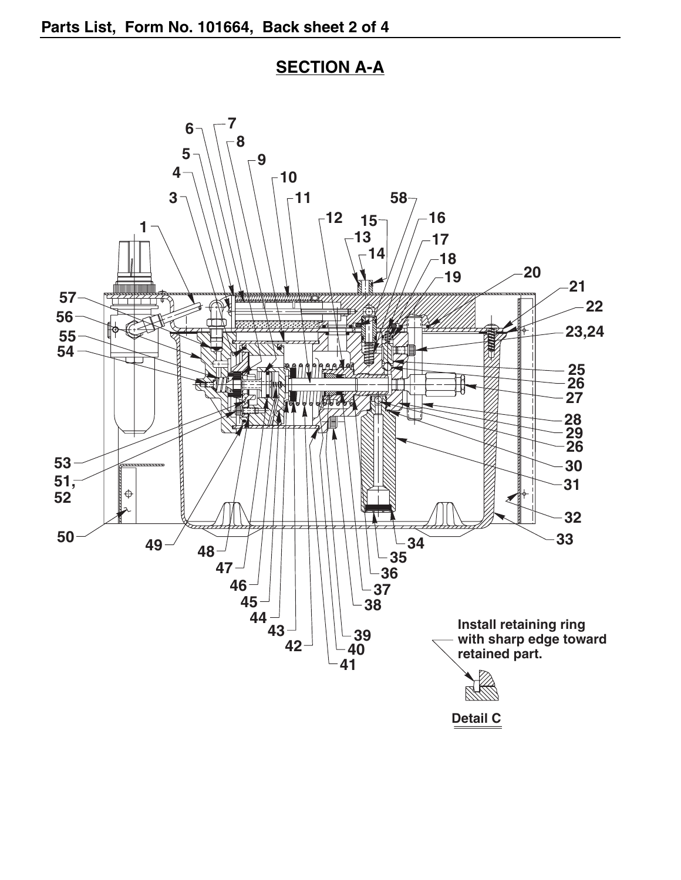

## **SECTION A-A**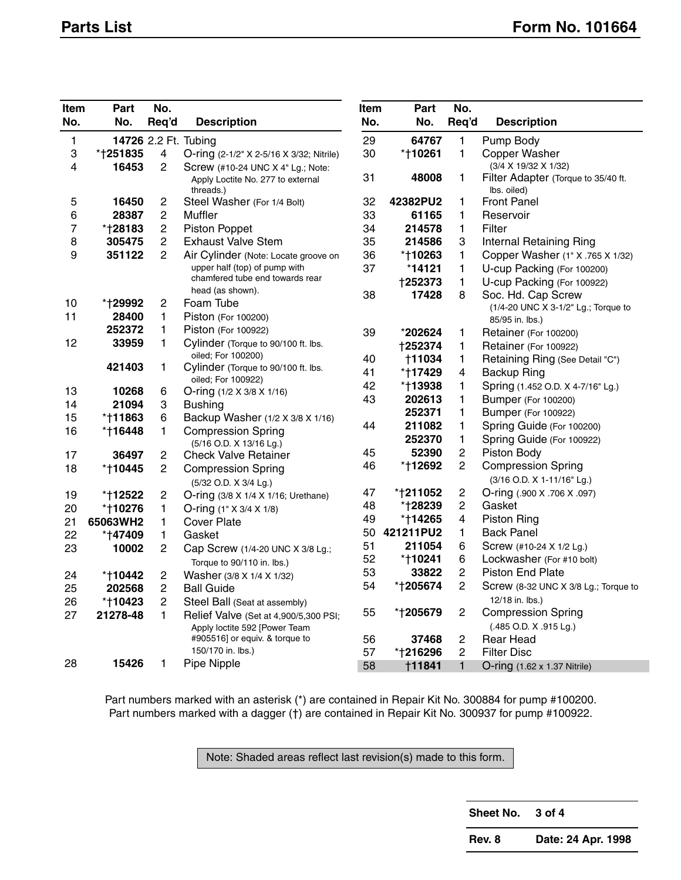| Item<br>No. | Part<br>No. | No.                      |                                                    | Item<br>No. | Part<br>No.    | No.                     |                                                         |
|-------------|-------------|--------------------------|----------------------------------------------------|-------------|----------------|-------------------------|---------------------------------------------------------|
|             |             | Req'd                    | <b>Description</b>                                 |             |                | Req'd                   | <b>Description</b>                                      |
| 1           |             |                          | 14726 2.2 Ft. Tubing                               | 29          | 64767          | 1                       | Pump Body                                               |
| 3           | *†251835    | $\overline{\mathcal{A}}$ | O-ring (2-1/2" X 2-5/16 X 3/32; Nitrile)           | 30          | *†10261        | 1                       | Copper Washer                                           |
| 4           | 16453       | 2                        | Screw (#10-24 UNC X 4" Lg.; Note:                  |             |                |                         | (3/4 X 19/32 X 1/32)                                    |
|             |             |                          | Apply Loctite No. 277 to external<br>threads.)     | 31          | 48008          | 1                       | Filter Adapter (Torque to 35/40 ft.<br>Ibs. oiled)      |
| 5           | 16450       | $\overline{c}$           | Steel Washer (For 1/4 Bolt)                        | 32          | 42382PU2       | 1                       | <b>Front Panel</b>                                      |
| 6           | 28387       | $\overline{c}$           | Muffler                                            | 33          | 61165          | 1                       | Reservoir                                               |
| 7           | *†28183     | 2                        | Piston Poppet                                      | 34          | 214578         | $\mathbf{1}$            | Filter                                                  |
| 8           | 305475      | $\overline{2}$           | <b>Exhaust Valve Stem</b>                          | 35          | 214586         | 3                       | Internal Retaining Ring                                 |
| 9           | 351122      | 2                        | Air Cylinder (Note: Locate groove on               | 36          | *†10263        | 1                       | Copper Washer (1" X .765 X 1/32)                        |
|             |             |                          | upper half (top) of pump with                      | 37          | *14121         | 1                       | U-cup Packing (For 100200)                              |
|             |             |                          | chamfered tube end towards rear                    |             | †252373        | 1                       | U-cup Packing (For 100922)                              |
| 10          | *†29992     | $\overline{c}$           | head (as shown).<br>Foam Tube                      | 38          | 17428          | 8                       | Soc. Hd. Cap Screw                                      |
| 11          | 28400       | 1                        | Piston (For 100200)                                |             |                |                         | (1/4-20 UNC X 3-1/2" Lg.; Torque to                     |
|             | 252372      | 1                        | Piston (For 100922)                                |             |                |                         | 85/95 in. lbs.)                                         |
| 12          | 33959       | 1                        | Cylinder (Torque to 90/100 ft. lbs.                | 39          | *202624        | 1                       | Retainer (For 100200)                                   |
|             |             |                          | oiled; For 100200)                                 |             | <b>†252374</b> | 1                       | Retainer (For 100922)                                   |
|             | 421403      | 1                        | Cylinder (Torque to 90/100 ft. lbs.                | 40          | †11034         | 1                       | Retaining Ring (See Detail "C")                         |
|             |             |                          | oiled; For 100922)                                 | 41          | *†17429        | $\overline{\mathbf{4}}$ | <b>Backup Ring</b>                                      |
| 13          | 10268       | 6                        | O-ring (1/2 X 3/8 X 1/16)                          | 42          | *†13938        | 1                       | Spring (1.452 O.D. X 4-7/16" Lg.)                       |
| 14          | 21094       | 3                        | <b>Bushing</b>                                     | 43          | 202613         | 1                       | <b>Bumper (For 100200)</b>                              |
| 15          | *†11863     | 6                        | Backup Washer (1/2 X 3/8 X 1/16)                   |             | 252371         | 1                       | <b>Bumper (For 100922)</b>                              |
| 16          | *†16448     | 1                        | <b>Compression Spring</b>                          | 44          | 211082         | 1                       | Spring Guide (For 100200)                               |
|             |             |                          | (5/16 O.D. X 13/16 Lg.)                            |             | 252370         | 1                       | Spring Guide (For 100922)                               |
| 17          | 36497       | $\overline{c}$           | <b>Check Valve Retainer</b>                        | 45          | 52390          | $\overline{c}$          | Piston Body                                             |
| 18          | *†10445     | $\overline{c}$           | <b>Compression Spring</b><br>(5/32 O.D. X 3/4 Lg.) | 46          | *†12692        | $\overline{2}$          | <b>Compression Spring</b><br>(3/16 O.D. X 1-11/16" Lg.) |
| 19          | *†12522     | $\overline{c}$           | O-ring (3/8 X 1/4 X 1/16; Urethane)                | 47          | *†211052       | $\overline{c}$          | O-ring (.900 X .706 X .097)                             |
| 20          | *†10276     | 1                        | O-ring $(1" \times 3/4 \times 1/8)$                | 48          | *†28239        | $\mathbf 2$             | Gasket                                                  |
| 21          | 65063WH2    | 1                        | <b>Cover Plate</b>                                 | 49          | *†14265        | $\overline{\mathbf{4}}$ | <b>Piston Ring</b>                                      |
| 22          | *†47409     | 1                        | Gasket                                             | 50          | 421211PU2      | $\mathbf{1}$            | <b>Back Panel</b>                                       |
| 23          | 10002       | $\overline{c}$           | Cap Screw (1/4-20 UNC X 3/8 Lg.;                   | 51          | 211054         | 6                       | Screw (#10-24 X 1/2 Lg.)                                |
|             |             |                          | Torque to 90/110 in. lbs.)                         | 52          | *†10241        | 6                       | Lockwasher (For #10 bolt)                               |
| 24          | *†10442     | 2                        | Washer (3/8 X 1/4 X 1/32)                          | 53          | 33822          | $\overline{c}$          | <b>Piston End Plate</b>                                 |
| 25          | 202568      | $\overline{c}$           | <b>Ball Guide</b>                                  | 54          | *†205674       | $\mathbf{2}$            | Screw (8-32 UNC X 3/8 Lg.; Torque to                    |
| 26          | *†10423     | $\overline{c}$           | Steel Ball (Seat at assembly)                      |             |                |                         | 12/18 in. lbs.)                                         |
| 27          | 21278-48    | 1                        | Relief Valve (Set at 4,900/5,300 PSI;              | 55          | *†205679       | $\sqrt{2}$              | <b>Compression Spring</b>                               |
|             |             |                          | Apply loctite 592 [Power Team                      |             |                |                         | (.485 O.D. X .915 Lg.)                                  |
|             |             |                          | #905516] or equiv. & torque to                     | 56          | 37468          | $\overline{c}$          | <b>Rear Head</b>                                        |
|             |             |                          | 150/170 in. lbs.)                                  | 57          | *†216296       | $\overline{2}$          | <b>Filter Disc</b>                                      |
| 28          | 15426       | 1                        | Pipe Nipple                                        | 58          | †11841         | $\mathbf{1}$            | O-ring (1.62 x 1.37 Nitrile)                            |

Part numbers marked with an asterisk (\*) are contained in Repair Kit No. 300884 for pump #100200. Part numbers marked with a dagger (†) are contained in Repair Kit No. 300937 for pump #100922.

Note: Shaded areas reflect last revision(s) made to this form.

**Sheet No. 3 of 4**

**Rev. 8 Date: 24 Apr. 1998**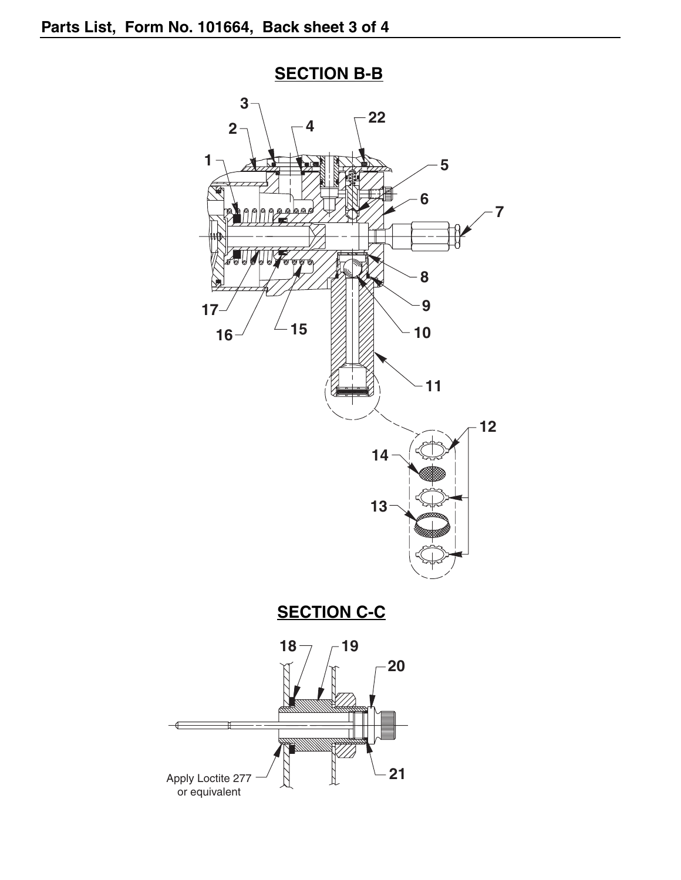

**SECTION B-B**